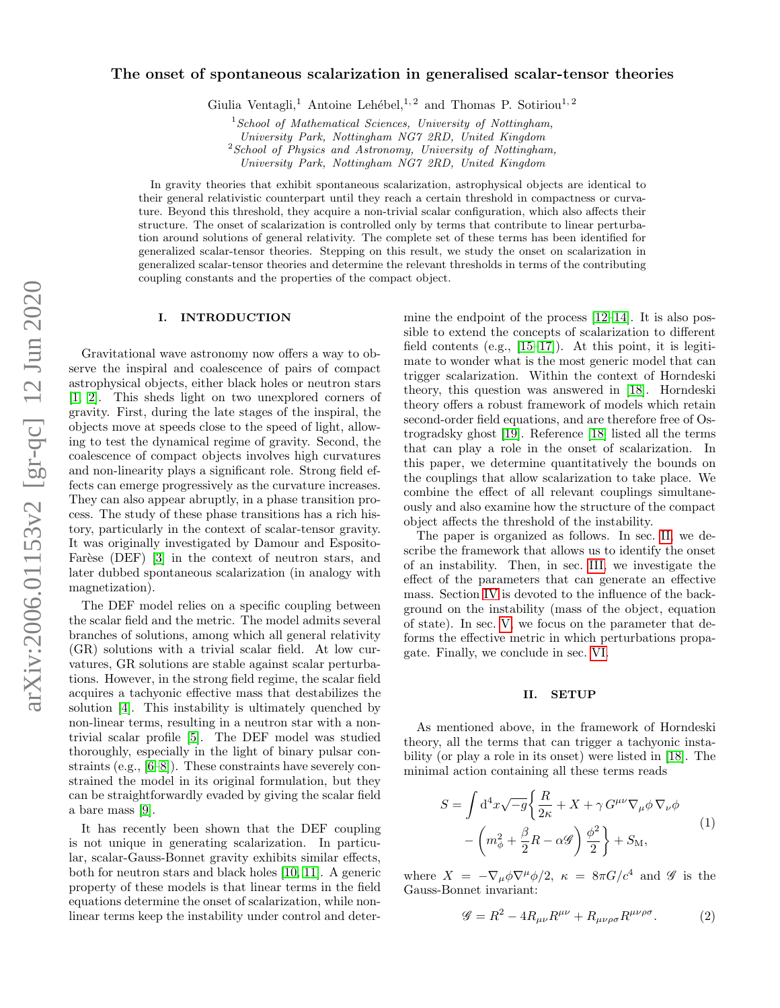# The onset of spontaneous scalarization in generalised scalar-tensor theories

Giulia Ventagli,<sup>1</sup> Antoine Lehébel,<sup>1, 2</sup> and Thomas P. Sotiriou<sup>1, 2</sup>

 $1$ School of Mathematical Sciences, University of Nottingham,

University Park, Nottingham NG7 2RD, United Kingdom

 $2$ School of Physics and Astronomy, University of Nottingham,

University Park, Nottingham NG7 2RD, United Kingdom

In gravity theories that exhibit spontaneous scalarization, astrophysical objects are identical to their general relativistic counterpart until they reach a certain threshold in compactness or curvature. Beyond this threshold, they acquire a non-trivial scalar configuration, which also affects their structure. The onset of scalarization is controlled only by terms that contribute to linear perturbation around solutions of general relativity. The complete set of these terms has been identified for generalized scalar-tensor theories. Stepping on this result, we study the onset on scalarization in generalized scalar-tensor theories and determine the relevant thresholds in terms of the contributing coupling constants and the properties of the compact object.

## I. INTRODUCTION

Gravitational wave astronomy now offers a way to observe the inspiral and coalescence of pairs of compact astrophysical objects, either black holes or neutron stars [\[1,](#page-8-0) [2\]](#page-8-1). This sheds light on two unexplored corners of gravity. First, during the late stages of the inspiral, the objects move at speeds close to the speed of light, allowing to test the dynamical regime of gravity. Second, the coalescence of compact objects involves high curvatures and non-linearity plays a significant role. Strong field effects can emerge progressively as the curvature increases. They can also appear abruptly, in a phase transition process. The study of these phase transitions has a rich history, particularly in the context of scalar-tensor gravity. It was originally investigated by Damour and Esposito-Farèse (DEF) [\[3\]](#page-8-2) in the context of neutron stars, and later dubbed spontaneous scalarization (in analogy with magnetization).

The DEF model relies on a specific coupling between the scalar field and the metric. The model admits several branches of solutions, among which all general relativity (GR) solutions with a trivial scalar field. At low curvatures, GR solutions are stable against scalar perturbations. However, in the strong field regime, the scalar field acquires a tachyonic effective mass that destabilizes the solution [\[4\]](#page-8-3). This instability is ultimately quenched by non-linear terms, resulting in a neutron star with a nontrivial scalar profile [\[5\]](#page-8-4). The DEF model was studied thoroughly, especially in the light of binary pulsar constraints (e.g., [\[6–](#page-8-5)[8\]](#page-8-6)). These constraints have severely constrained the model in its original formulation, but they can be straightforwardly evaded by giving the scalar field a bare mass [\[9\]](#page-8-7).

It has recently been shown that the DEF coupling is not unique in generating scalarization. In particular, scalar-Gauss-Bonnet gravity exhibits similar effects, both for neutron stars and black holes [\[10,](#page-8-8) [11\]](#page-8-9). A generic property of these models is that linear terms in the field equations determine the onset of scalarization, while nonlinear terms keep the instability under control and determine the endpoint of the process [\[12](#page-8-10)[–14\]](#page-8-11). It is also possible to extend the concepts of scalarization to different field contents (e.g.,  $[15-17]$  $[15-17]$ ). At this point, it is legitimate to wonder what is the most generic model that can trigger scalarization. Within the context of Horndeski theory, this question was answered in [\[18\]](#page-9-2). Horndeski theory offers a robust framework of models which retain second-order field equations, and are therefore free of Ostrogradsky ghost [\[19\]](#page-9-3). Reference [\[18\]](#page-9-2) listed all the terms that can play a role in the onset of scalarization. In this paper, we determine quantitatively the bounds on the couplings that allow scalarization to take place. We combine the effect of all relevant couplings simultaneously and also examine how the structure of the compact object affects the threshold of the instability.

The paper is organized as follows. In sec. [II,](#page-0-0) we describe the framework that allows us to identify the onset of an instability. Then, in sec. [III,](#page-2-0) we investigate the effect of the parameters that can generate an effective mass. Section [IV](#page-3-0) is devoted to the influence of the background on the instability (mass of the object, equation of state). In sec. [V,](#page-4-0) we focus on the parameter that deforms the effective metric in which perturbations propagate. Finally, we conclude in sec. [VI.](#page-6-0)

## <span id="page-0-0"></span>II. SETUP

As mentioned above, in the framework of Horndeski theory, all the terms that can trigger a tachyonic instability (or play a role in its onset) were listed in [\[18\]](#page-9-2). The minimal action containing all these terms reads

<span id="page-0-1"></span>
$$
S = \int d^4x \sqrt{-g} \left\{ \frac{R}{2\kappa} + X + \gamma G^{\mu\nu} \nabla_{\mu} \phi \nabla_{\nu} \phi \right. \\
\left. - \left( m_{\phi}^2 + \frac{\beta}{2} R - \alpha \mathscr{G} \right) \frac{\phi^2}{2} \right\} + S_M,
$$
\n(1)

where  $X = -\nabla_{\mu} \phi \nabla^{\mu} \phi / 2$ ,  $\kappa = 8\pi G/c^4$  and  $\mathscr{G}$  is the Gauss-Bonnet invariant:

$$
\mathcal{G} = R^2 - 4R_{\mu\nu}R^{\mu\nu} + R_{\mu\nu\rho\sigma}R^{\mu\nu\rho\sigma}.
$$
 (2)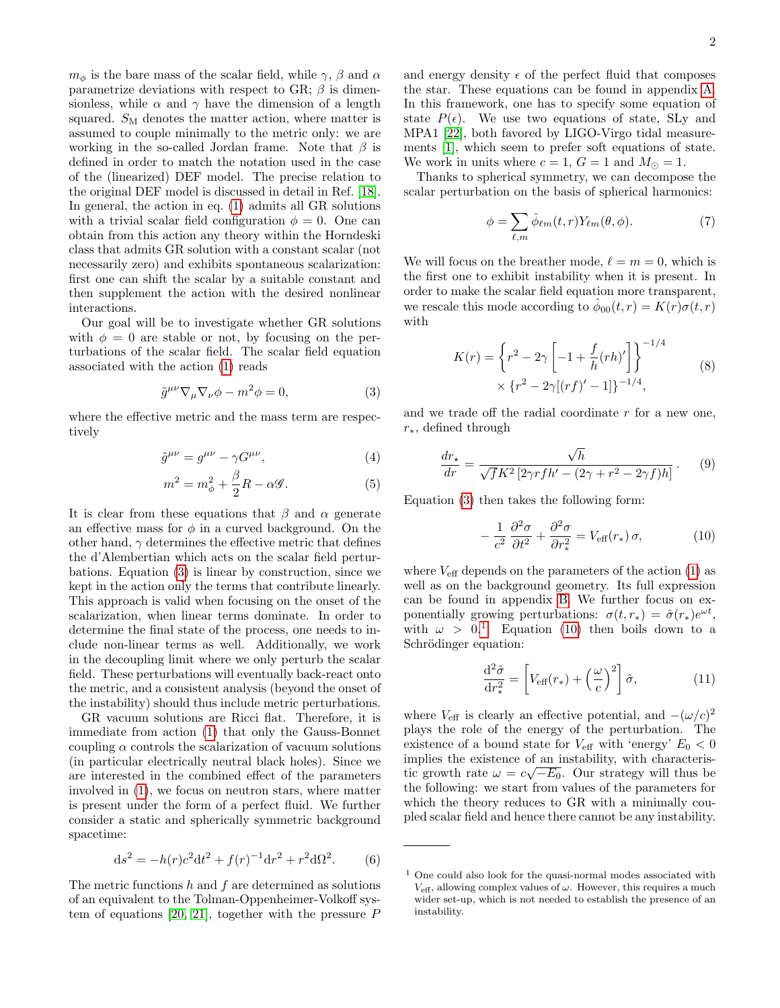$m_{\phi}$  is the bare mass of the scalar field, while  $\gamma$ ,  $\beta$  and  $\alpha$ parametrize deviations with respect to GR;  $\beta$  is dimensionless, while  $\alpha$  and  $\gamma$  have the dimension of a length squared.  $S_M$  denotes the matter action, where matter is assumed to couple minimally to the metric only: we are working in the so-called Jordan frame. Note that  $\beta$  is defined in order to match the notation used in the case of the (linearized) DEF model. The precise relation to the original DEF model is discussed in detail in Ref. [\[18\]](#page-9-2). In general, the action in eq. [\(1\)](#page-0-1) admits all GR solutions with a trivial scalar field configuration  $\phi = 0$ . One can obtain from this action any theory within the Horndeski class that admits GR solution with a constant scalar (not necessarily zero) and exhibits spontaneous scalarization: first one can shift the scalar by a suitable constant and then supplement the action with the desired nonlinear interactions.

Our goal will be to investigate whether GR solutions with  $\phi = 0$  are stable or not, by focusing on the perturbations of the scalar field. The scalar field equation associated with the action [\(1\)](#page-0-1) reads

<span id="page-1-0"></span>
$$
\tilde{g}^{\mu\nu}\nabla_{\mu}\nabla_{\nu}\phi - m^2\phi = 0, \tag{3}
$$

where the effective metric and the mass term are respectively

$$
\tilde{g}^{\mu\nu} = g^{\mu\nu} - \gamma G^{\mu\nu},\tag{4}
$$

$$
m^2 = m_\phi^2 + \frac{\beta}{2}R - \alpha \mathcal{G}.
$$
 (5)

It is clear from these equations that  $\beta$  and  $\alpha$  generate an effective mass for  $\phi$  in a curved background. On the other hand,  $\gamma$  determines the effective metric that defines the d'Alembertian which acts on the scalar field perturbations. Equation [\(3\)](#page-1-0) is linear by construction, since we kept in the action only the terms that contribute linearly. This approach is valid when focusing on the onset of the scalarization, when linear terms dominate. In order to determine the final state of the process, one needs to include non-linear terms as well. Additionally, we work in the decoupling limit where we only perturb the scalar field. These perturbations will eventually back-react onto the metric, and a consistent analysis (beyond the onset of the instability) should thus include metric perturbations.

GR vacuum solutions are Ricci flat. Therefore, it is immediate from action [\(1\)](#page-0-1) that only the Gauss-Bonnet coupling  $\alpha$  controls the scalarization of vacuum solutions (in particular electrically neutral black holes). Since we are interested in the combined effect of the parameters involved in [\(1\)](#page-0-1), we focus on neutron stars, where matter is present under the form of a perfect fluid. We further consider a static and spherically symmetric background spacetime:

<span id="page-1-5"></span>
$$
ds^{2} = -h(r)c^{2}dt^{2} + f(r)^{-1}dr^{2} + r^{2}d\Omega^{2}.
$$
 (6)

The metric functions  $h$  and  $f$  are determined as solutions of an equivalent to the Tolman-Oppenheimer-Volkoff sys-tem of equations [\[20,](#page-9-4) [21\]](#page-9-5), together with the pressure  $P$ 

and energy density  $\epsilon$  of the perfect fluid that composes the star. These equations can be found in appendix [A.](#page-7-0) In this framework, one has to specify some equation of state  $P(\epsilon)$ . We use two equations of state, SLy and MPA1 [\[22\]](#page-9-6), both favored by LIGO-Virgo tidal measurements [\[1\]](#page-8-0), which seem to prefer soft equations of state. We work in units where  $c = 1$ ,  $G = 1$  and  $M_{\odot} = 1$ .

Thanks to spherical symmetry, we can decompose the scalar perturbation on the basis of spherical harmonics:

$$
\phi = \sum_{\ell,m} \hat{\phi}_{\ell m}(t,r) Y_{\ell m}(\theta,\phi). \tag{7}
$$

We will focus on the breather mode,  $\ell = m = 0$ , which is the first one to exhibit instability when it is present. In order to make the scalar field equation more transparent, we rescale this mode according to  $\hat{\phi}_{00}(t,r) = K(r)\sigma(t,r)$ with

$$
K(r) = \left\{ r^2 - 2\gamma \left[ -1 + \frac{f}{h} (rh)' \right] \right\}^{-1/4}
$$
  
 
$$
\times \left\{ r^2 - 2\gamma [(rf)' - 1] \right\}^{-1/4},
$$
 (8)

<span id="page-1-4"></span>and we trade off the radial coordinate  $r$  for a new one, r∗, defined through

<span id="page-1-6"></span>
$$
\frac{dr_{\star}}{dr} = \frac{\sqrt{h}}{\sqrt{f}K^2 \left[2\gamma r f h' - (2\gamma + r^2 - 2\gamma f)h\right]}.
$$
 (9)

Equation [\(3\)](#page-1-0) then takes the following form:

<span id="page-1-2"></span>
$$
-\frac{1}{c^2}\frac{\partial^2 \sigma}{\partial t^2} + \frac{\partial^2 \sigma}{\partial r_*^2} = V_{\text{eff}}(r_*)\,\sigma,\tag{10}
$$

where  $V_{\text{eff}}$  depends on the parameters of the action [\(1\)](#page-0-1) as well as on the background geometry. Its full expression can be found in appendix [B.](#page-7-1) We further focus on exponentially growing perturbations:  $\sigma(t, r_*) = \hat{\sigma}(r_*)e^{\omega t}$ , with  $\omega > 0$ <sup>[1](#page-1-1)</sup> Equation [\(10\)](#page-1-2) then boils down to a Schrödinger equation:

<span id="page-1-3"></span>
$$
\frac{\mathrm{d}^2 \hat{\sigma}}{\mathrm{d} r_*^2} = \left[ V_{\text{eff}}(r_*) + \left( \frac{\omega}{c} \right)^2 \right] \hat{\sigma},\tag{11}
$$

where  $V_{\text{eff}}$  is clearly an effective potential, and  $-(\omega/c)^2$ plays the role of the energy of the perturbation. The existence of a bound state for  $V_{\text{eff}}$  with 'energy'  $E_0 < 0$ implies the existence of an instability, with characteristic growth rate  $\omega = c\sqrt{-E_0}$ . Our strategy will thus be the following: we start from values of the parameters for which the theory reduces to GR with a minimally coupled scalar field and hence there cannot be any instability.

<span id="page-1-1"></span> $1$  One could also look for the quasi-normal modes associated with  $V_{\text{eff}}$ , allowing complex values of  $\omega$ . However, this requires a much wider set-up, which is not needed to establish the presence of an instability.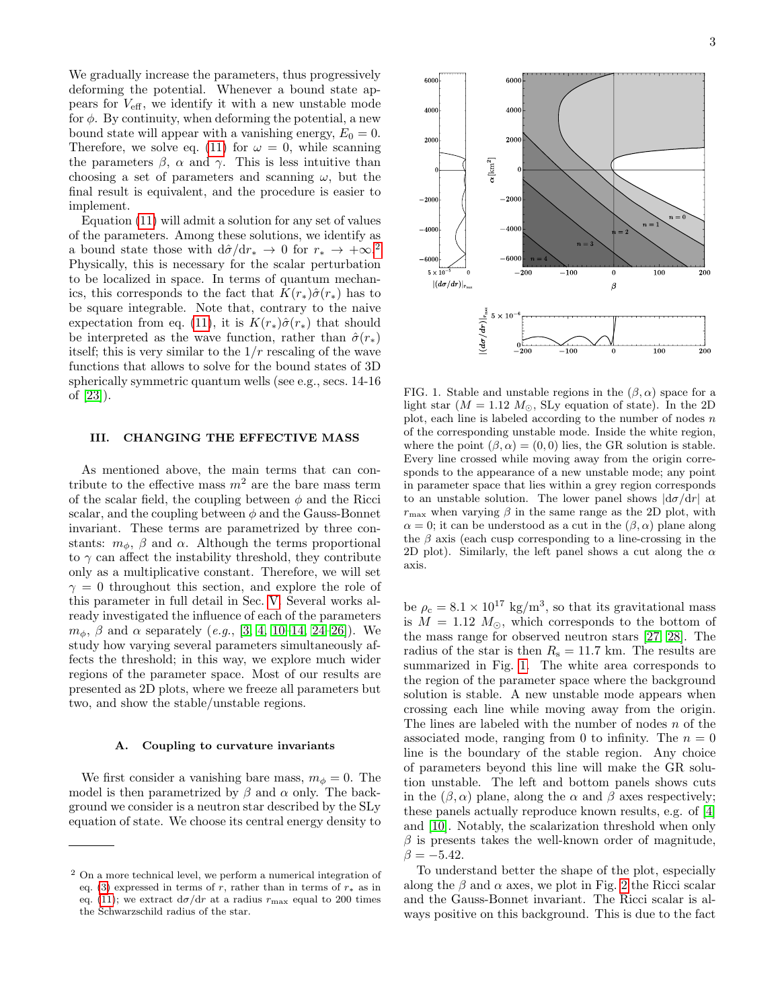We gradually increase the parameters, thus progressively deforming the potential. Whenever a bound state appears for  $V_{\text{eff}}$ , we identify it with a new unstable mode for  $\phi$ . By continuity, when deforming the potential, a new bound state will appear with a vanishing energy,  $E_0 = 0$ . Therefore, we solve eq. [\(11\)](#page-1-3) for  $\omega = 0$ , while scanning the parameters  $\beta$ ,  $\alpha$  and  $\gamma$ . This is less intuitive than choosing a set of parameters and scanning  $\omega$ , but the final result is equivalent, and the procedure is easier to implement.

Equation [\(11\)](#page-1-3) will admit a solution for any set of values of the parameters. Among these solutions, we identify as a bound state those with  $d\hat{\sigma}/dr_* \to 0$  for  $r_* \to +\infty$ <sup>[2](#page-2-1)</sup> Physically, this is necessary for the scalar perturbation to be localized in space. In terms of quantum mechanics, this corresponds to the fact that  $K(r_*)\hat{\sigma}(r_*)$  has to be square integrable. Note that, contrary to the naive expectation from eq. [\(11\)](#page-1-3), it is  $K(r_*)\hat{\sigma}(r_*)$  that should be interpreted as the wave function, rather than  $\hat{\sigma}(r_*)$ itself; this is very similar to the  $1/r$  rescaling of the wave functions that allows to solve for the bound states of 3D spherically symmetric quantum wells (see e.g., secs. 14-16 of [\[23\]](#page-9-7)).

### <span id="page-2-0"></span>III. CHANGING THE EFFECTIVE MASS

As mentioned above, the main terms that can contribute to the effective mass  $m^2$  are the bare mass term of the scalar field, the coupling between  $\phi$  and the Ricci scalar, and the coupling between  $\phi$  and the Gauss-Bonnet invariant. These terms are parametrized by three constants:  $m_{\phi}$ ,  $\beta$  and  $\alpha$ . Although the terms proportional to  $\gamma$  can affect the instability threshold, they contribute only as a multiplicative constant. Therefore, we will set  $\gamma = 0$  throughout this section, and explore the role of this parameter in full detail in Sec. [V.](#page-4-0) Several works already investigated the influence of each of the parameters  $m_{\phi}$ ,  $\beta$  and  $\alpha$  separately (e.g., [\[3,](#page-8-2) [4,](#page-8-3) [10–](#page-8-8)[14,](#page-8-11) [24](#page-9-8)[–26\]](#page-9-9)). We study how varying several parameters simultaneously affects the threshold; in this way, we explore much wider regions of the parameter space. Most of our results are presented as 2D plots, where we freeze all parameters but two, and show the stable/unstable regions.

#### A. Coupling to curvature invariants

We first consider a vanishing bare mass,  $m_{\phi} = 0$ . The model is then parametrized by  $\beta$  and  $\alpha$  only. The background we consider is a neutron star described by the SLy equation of state. We choose its central energy density to



<span id="page-2-2"></span>FIG. 1. Stable and unstable regions in the  $(\beta, \alpha)$  space for a light star ( $M = 1.12 M_{\odot}$ , SLy equation of state). In the 2D plot, each line is labeled according to the number of nodes  $n$ of the corresponding unstable mode. Inside the white region, where the point  $(\beta, \alpha) = (0, 0)$  lies, the GR solution is stable. Every line crossed while moving away from the origin corresponds to the appearance of a new unstable mode; any point in parameter space that lies within a grey region corresponds to an unstable solution. The lower panel shows  $|d\sigma/dr|$  at  $r_{\text{max}}$  when varying  $\beta$  in the same range as the 2D plot, with  $\alpha = 0$ ; it can be understood as a cut in the  $(\beta, \alpha)$  plane along the  $\beta$  axis (each cusp corresponding to a line-crossing in the 2D plot). Similarly, the left panel shows a cut along the  $\alpha$ axis.

be  $\rho_c = 8.1 \times 10^{17} \text{ kg/m}^3$ , so that its gravitational mass is  $M = 1.12 M_{\odot}$ , which corresponds to the bottom of the mass range for observed neutron stars [\[27,](#page-9-10) [28\]](#page-9-11). The radius of the star is then  $R_s = 11.7$  km. The results are summarized in Fig. [1.](#page-2-2) The white area corresponds to the region of the parameter space where the background solution is stable. A new unstable mode appears when crossing each line while moving away from the origin. The lines are labeled with the number of nodes  $n$  of the associated mode, ranging from 0 to infinity. The  $n = 0$ line is the boundary of the stable region. Any choice of parameters beyond this line will make the GR solution unstable. The left and bottom panels shows cuts in the  $(\beta, \alpha)$  plane, along the  $\alpha$  and  $\beta$  axes respectively; these panels actually reproduce known results, e.g. of [\[4\]](#page-8-3) and [\[10\]](#page-8-8). Notably, the scalarization threshold when only  $\beta$  is presents takes the well-known order of magnitude,  $\beta = -5.42.$ 

To understand better the shape of the plot, especially along the  $\beta$  and  $\alpha$  axes, we plot in Fig. [2](#page-3-1) the Ricci scalar and the Gauss-Bonnet invariant. The Ricci scalar is always positive on this background. This is due to the fact

<span id="page-2-1"></span><sup>2</sup> On a more technical level, we perform a numerical integration of eq. [\(3\)](#page-1-0) expressed in terms of r, rather than in terms of  $r_*$  as in eq. [\(11\)](#page-1-3); we extract  $d\sigma/dr$  at a radius  $r_{\text{max}}$  equal to 200 times the Schwarzschild radius of the star.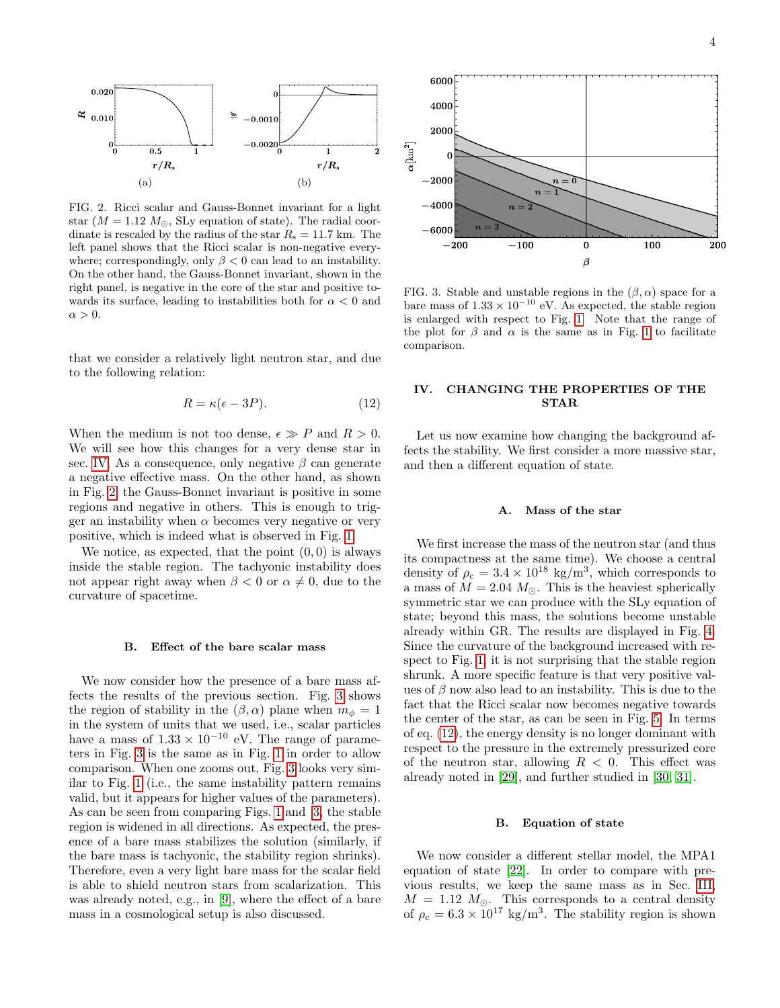

<span id="page-3-1"></span>FIG. 2. Ricci scalar and Gauss-Bonnet invariant for a light star  $(M = 1.12 M_{\odot}, \text{SLy}$  equation of state). The radial coordinate is rescaled by the radius of the star  $R_s = 11.7$  km. The left panel shows that the Ricci scalar is non-negative everywhere; correspondingly, only  $\beta < 0$  can lead to an instability. On the other hand, the Gauss-Bonnet invariant, shown in the right panel, is negative in the core of the star and positive towards its surface, leading to instabilities both for  $\alpha < 0$  and  $\alpha > 0$ .

that we consider a relatively light neutron star, and due to the following relation:

<span id="page-3-3"></span>
$$
R = \kappa(\epsilon - 3P). \tag{12}
$$

When the medium is not too dense,  $\epsilon \gg P$  and  $R > 0$ . We will see how this changes for a very dense star in sec. [IV.](#page-3-0) As a consequence, only negative  $\beta$  can generate a negative effective mass. On the other hand, as shown in Fig. [2,](#page-3-1) the Gauss-Bonnet invariant is positive in some regions and negative in others. This is enough to trigger an instability when  $\alpha$  becomes very negative or very positive, which is indeed what is observed in Fig. [1.](#page-2-2)

We notice, as expected, that the point  $(0, 0)$  is always inside the stable region. The tachyonic instability does not appear right away when  $\beta < 0$  or  $\alpha \neq 0$ , due to the curvature of spacetime.

#### B. Effect of the bare scalar mass

We now consider how the presence of a bare mass affects the results of the previous section. Fig. [3](#page-3-2) shows the region of stability in the  $(\beta, \alpha)$  plane when  $m_{\phi} = 1$ in the system of units that we used, i.e., scalar particles have a mass of  $1.33 \times 10^{-10}$  eV. The range of parameters in Fig. [3](#page-3-2) is the same as in Fig. [1](#page-2-2) in order to allow comparison. When one zooms out, Fig. [3](#page-3-2) looks very similar to Fig. [1](#page-2-2) (i.e., the same instability pattern remains valid, but it appears for higher values of the parameters). As can be seen from comparing Figs. [1](#page-2-2) and [3,](#page-3-2) the stable region is widened in all directions. As expected, the presence of a bare mass stabilizes the solution (similarly, if the bare mass is tachyonic, the stability region shrinks). Therefore, even a very light bare mass for the scalar field is able to shield neutron stars from scalarization. This was already noted, e.g., in [\[9\]](#page-8-7), where the effect of a bare mass in a cosmological setup is also discussed.



<span id="page-3-2"></span>FIG. 3. Stable and unstable regions in the  $(\beta, \alpha)$  space for a bare mass of  $1.33 \times 10^{-10}$  eV. As expected, the stable region is enlarged with respect to Fig. [1.](#page-2-2) Note that the range of the plot for  $\beta$  and  $\alpha$  is the same as in Fig. [1](#page-2-2) to facilitate comparison.

## <span id="page-3-0"></span>IV. CHANGING THE PROPERTIES OF THE STAR

Let us now examine how changing the background affects the stability. We first consider a more massive star, and then a different equation of state.

## A. Mass of the star

We first increase the mass of the neutron star (and thus its compactness at the same time). We choose a central density of  $\rho_c = 3.4 \times 10^{18} \text{ kg/m}^3$ , which corresponds to a mass of  $M = 2.04 M_{\odot}$ . This is the heaviest spherically symmetric star we can produce with the SLy equation of state; beyond this mass, the solutions become unstable already within GR. The results are displayed in Fig. [4.](#page-4-1) Since the curvature of the background increased with respect to Fig. [1,](#page-2-2) it is not surprising that the stable region shrunk. A more specific feature is that very positive values of  $\beta$  now also lead to an instability. This is due to the fact that the Ricci scalar now becomes negative towards the center of the star, as can be seen in Fig. [5.](#page-4-2) In terms of eq. [\(12\)](#page-3-3), the energy density is no longer dominant with respect to the pressure in the extremely pressurized core of the neutron star, allowing  $R < 0$ . This effect was already noted in [\[29\]](#page-9-12), and further studied in [\[30,](#page-9-13) [31\]](#page-9-14).

## B. Equation of state

We now consider a different stellar model, the MPA1 equation of state [\[22\]](#page-9-6). In order to compare with previous results, we keep the same mass as in Sec. [III,](#page-2-0)  $M = 1.12 M_{\odot}$ . This corresponds to a central density of  $\rho_c = 6.3 \times 10^{17} \text{ kg/m}^3$ . The stability region is shown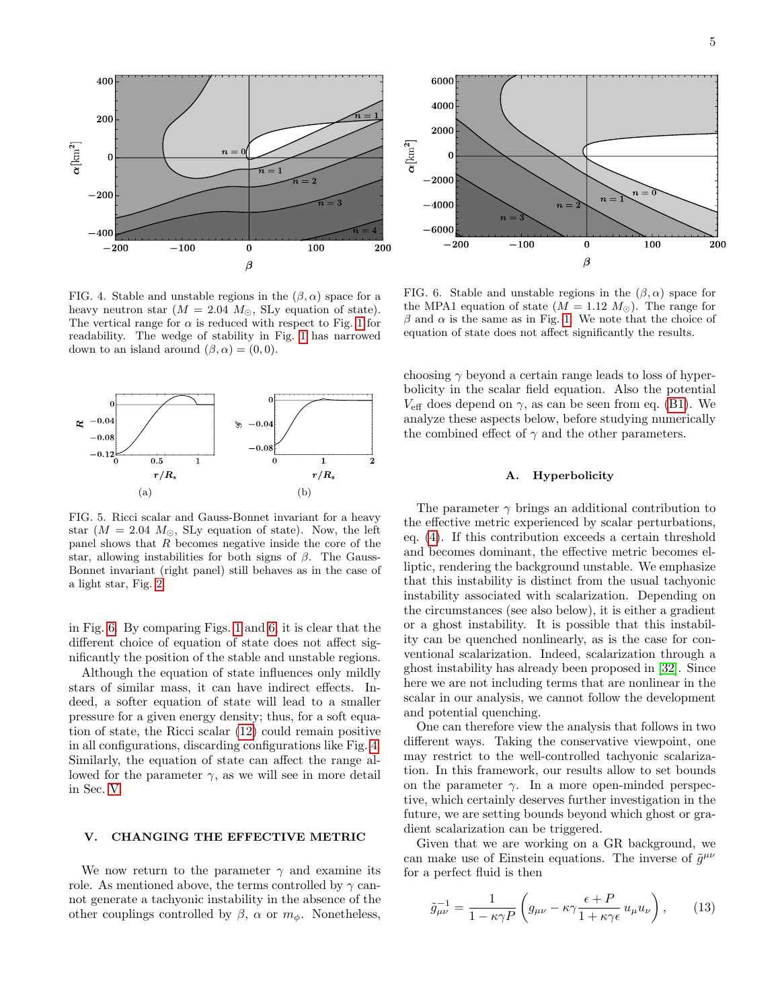

<span id="page-4-1"></span>FIG. 4. Stable and unstable regions in the  $(\beta, \alpha)$  space for a heavy neutron star ( $M = 2.04$   $M_{\odot}$ , SLy equation of state). The vertical range for  $\alpha$  is reduced with respect to Fig. [1](#page-2-2) for readability. The wedge of stability in Fig. [1](#page-2-2) has narrowed down to an island around  $(\beta, \alpha) = (0, 0)$ .



<span id="page-4-2"></span>FIG. 5. Ricci scalar and Gauss-Bonnet invariant for a heavy star ( $M = 2.04$   $M_{\odot}$ , SLy equation of state). Now, the left panel shows that  $R$  becomes negative inside the core of the star, allowing instabilities for both signs of  $\beta$ . The Gauss-Bonnet invariant (right panel) still behaves as in the case of a light star, Fig. [2.](#page-3-1)

in Fig. [6.](#page-4-3) By comparing Figs. [1](#page-2-2) and [6,](#page-4-3) it is clear that the different choice of equation of state does not affect significantly the position of the stable and unstable regions.

Although the equation of state influences only mildly stars of similar mass, it can have indirect effects. Indeed, a softer equation of state will lead to a smaller pressure for a given energy density; thus, for a soft equation of state, the Ricci scalar [\(12\)](#page-3-3) could remain positive in all configurations, discarding configurations like Fig. [4.](#page-4-1) Similarly, the equation of state can affect the range allowed for the parameter  $\gamma$ , as we will see in more detail in Sec. [V.](#page-4-0)

## <span id="page-4-0"></span>V. CHANGING THE EFFECTIVE METRIC

We now return to the parameter  $\gamma$  and examine its role. As mentioned above, the terms controlled by  $\gamma$  cannot generate a tachyonic instability in the absence of the other couplings controlled by  $\beta$ ,  $\alpha$  or  $m_{\phi}$ . Nonetheless,



<span id="page-4-3"></span>FIG. 6. Stable and unstable regions in the  $(\beta, \alpha)$  space for the MPA1 equation of state  $(M = 1.12 M_{\odot})$ . The range for  $\beta$  and  $\alpha$  is the same as in Fig. [1.](#page-2-2) We note that the choice of equation of state does not affect significantly the results.

choosing  $\gamma$  beyond a certain range leads to loss of hyperbolicity in the scalar field equation. Also the potential  $V_{\text{eff}}$  does depend on  $\gamma$ , as can be seen from eq. [\(B1\)](#page-8-12). We analyze these aspects below, before studying numerically the combined effect of  $\gamma$  and the other parameters.

### A. Hyperbolicity

The parameter  $\gamma$  brings an additional contribution to the effective metric experienced by scalar perturbations, eq. [\(4\)](#page-1-4). If this contribution exceeds a certain threshold and becomes dominant, the effective metric becomes elliptic, rendering the background unstable. We emphasize that this instability is distinct from the usual tachyonic instability associated with scalarization. Depending on the circumstances (see also below), it is either a gradient or a ghost instability. It is possible that this instability can be quenched nonlinearly, as is the case for conventional scalarization. Indeed, scalarization through a ghost instability has already been proposed in [\[32\]](#page-9-15). Since here we are not including terms that are nonlinear in the scalar in our analysis, we cannot follow the development and potential quenching.

One can therefore view the analysis that follows in two different ways. Taking the conservative viewpoint, one may restrict to the well-controlled tachyonic scalarization. In this framework, our results allow to set bounds on the parameter  $\gamma$ . In a more open-minded perspective, which certainly deserves further investigation in the future, we are setting bounds beyond which ghost or gradient scalarization can be triggered.

Given that we are working on a GR background, we can make use of Einstein equations. The inverse of  $\tilde{g}^{\mu\nu}$ for a perfect fluid is then

$$
\tilde{g}_{\mu\nu}^{-1} = \frac{1}{1 - \kappa \gamma P} \left( g_{\mu\nu} - \kappa \gamma \frac{\epsilon + P}{1 + \kappa \gamma \epsilon} u_{\mu} u_{\nu} \right), \qquad (13)
$$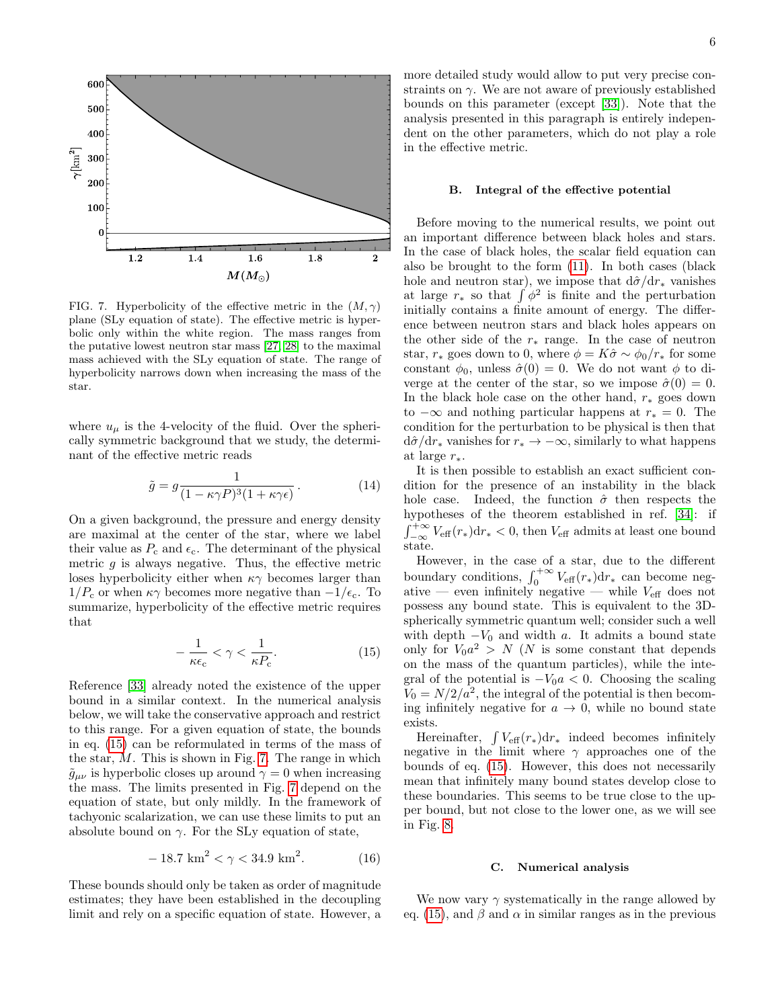

<span id="page-5-1"></span>FIG. 7. Hyperbolicity of the effective metric in the  $(M, \gamma)$ plane (SLy equation of state). The effective metric is hyperbolic only within the white region. The mass ranges from the putative lowest neutron star mass [\[27,](#page-9-10) [28\]](#page-9-11) to the maximal mass achieved with the SLy equation of state. The range of hyperbolicity narrows down when increasing the mass of the star.

where  $u_{\mu}$  is the 4-velocity of the fluid. Over the spherically symmetric background that we study, the determinant of the effective metric reads

$$
\tilde{g} = g \frac{1}{(1 - \kappa \gamma P)^3 (1 + \kappa \gamma \epsilon)}.
$$
 (14)

On a given background, the pressure and energy density are maximal at the center of the star, where we label their value as  $P_c$  and  $\epsilon_c$ . The determinant of the physical metric  $g$  is always negative. Thus, the effective metric loses hyperbolicity either when  $\kappa \gamma$  becomes larger than  $1/P_c$  or when  $\kappa \gamma$  becomes more negative than  $-1/\epsilon_c$ . To summarize, hyperbolicity of the effective metric requires that

<span id="page-5-0"></span>
$$
-\frac{1}{\kappa\epsilon_{\rm c}} < \gamma < \frac{1}{\kappa P_{\rm c}}.\tag{15}
$$

Reference [\[33\]](#page-9-16) already noted the existence of the upper bound in a similar context. In the numerical analysis below, we will take the conservative approach and restrict to this range. For a given equation of state, the bounds in eq. [\(15\)](#page-5-0) can be reformulated in terms of the mass of the star,  $M$ . This is shown in Fig. [7.](#page-5-1) The range in which  $\tilde{g}_{\mu\nu}$  is hyperbolic closes up around  $\gamma = 0$  when increasing the mass. The limits presented in Fig. [7](#page-5-1) depend on the equation of state, but only mildly. In the framework of tachyonic scalarization, we can use these limits to put an absolute bound on  $\gamma$ . For the SLy equation of state,

$$
-18.7 \text{ km}^2 < \gamma < 34.9 \text{ km}^2. \tag{16}
$$

These bounds should only be taken as order of magnitude estimates; they have been established in the decoupling limit and rely on a specific equation of state. However, a more detailed study would allow to put very precise constraints on  $\gamma$ . We are not aware of previously established bounds on this parameter (except [\[33\]](#page-9-16)). Note that the analysis presented in this paragraph is entirely independent on the other parameters, which do not play a role in the effective metric.

### B. Integral of the effective potential

Before moving to the numerical results, we point out an important difference between black holes and stars. In the case of black holes, the scalar field equation can also be brought to the form [\(11\)](#page-1-3). In both cases (black hole and neutron star), we impose that  $d\hat{\sigma}/dr_*$  vanishes at large  $r_*$  so that  $\int \phi^2$  is finite and the perturbation initially contains a finite amount of energy. The difference between neutron stars and black holes appears on the other side of the  $r_*$  range. In the case of neutron star,  $r_*$  goes down to 0, where  $\phi = K\hat{\sigma} \sim \phi_0/r_*$  for some constant  $\phi_0$ , unless  $\hat{\sigma}(0) = 0$ . We do not want  $\phi$  to diverge at the center of the star, so we impose  $\hat{\sigma}(0) = 0$ . In the black hole case on the other hand,  $r_*$  goes down to  $-\infty$  and nothing particular happens at  $r_* = 0$ . The condition for the perturbation to be physical is then that  $d\hat{\sigma}/dr_*$  vanishes for  $r_* \to -\infty$ , similarly to what happens at large  $r_*$ .

It is then possible to establish an exact sufficient condition for the presence of an instability in the black hole case. Indeed, the function  $\hat{\sigma}$  then respects the hypotheses of the theorem established in ref. [\[34\]](#page-9-17): if  $\int_{-\infty}^{+\infty} V_{\text{eff}}(r_*) dr_* < 0$ , then  $V_{\text{eff}}$  admits at least one bound state.

However, in the case of a star, due to the different boundary conditions,  $\int_0^{+\infty} V_{\text{eff}}(r_*) dr_*$  can become negative — even infinitely negative — while  $V_{\text{eff}}$  does not possess any bound state. This is equivalent to the 3Dspherically symmetric quantum well; consider such a well with depth  $-V_0$  and width a. It admits a bound state only for  $V_0 a^2 > N$  (N is some constant that depends on the mass of the quantum particles), while the integral of the potential is  $-V_0a < 0$ . Choosing the scaling  $V_0 = N/2/a^2$ , the integral of the potential is then becoming infinitely negative for  $a \to 0$ , while no bound state exists.

Hereinafter,  $\int V_{\text{eff}}(r_*)dr_*$  indeed becomes infinitely negative in the limit where  $\gamma$  approaches one of the bounds of eq. [\(15\)](#page-5-0). However, this does not necessarily mean that infinitely many bound states develop close to these boundaries. This seems to be true close to the upper bound, but not close to the lower one, as we will see in Fig. [8.](#page-6-1)

## C. Numerical analysis

We now vary  $\gamma$  systematically in the range allowed by eq. [\(15\)](#page-5-0), and  $\beta$  and  $\alpha$  in similar ranges as in the previous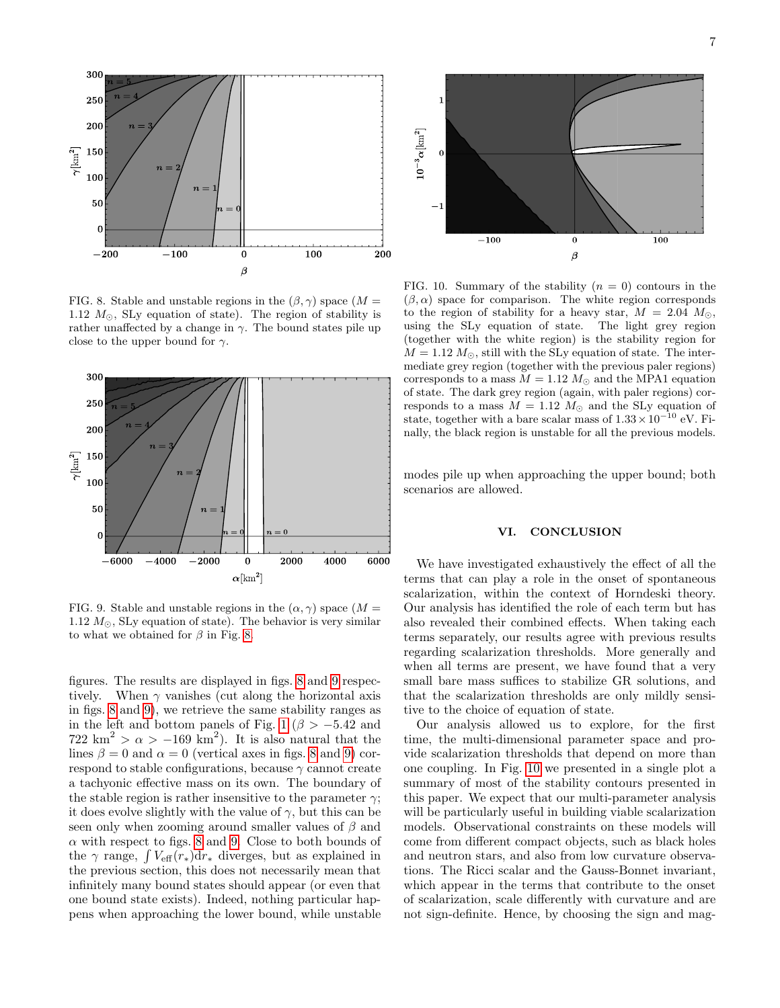

<span id="page-6-1"></span>FIG. 8. Stable and unstable regions in the  $(\beta, \gamma)$  space  $(M =$ 1.12  $M_{\odot}$ , SLy equation of state). The region of stability is rather unaffected by a change in  $\gamma$ . The bound states pile up close to the upper bound for  $\gamma$ .



<span id="page-6-2"></span>FIG. 9. Stable and unstable regions in the  $(\alpha, \gamma)$  space  $(M =$ 1.12  $M_{\odot}$ , SLy equation of state). The behavior is very similar to what we obtained for  $\beta$  in Fig. [8.](#page-6-1)

figures. The results are displayed in figs. [8](#page-6-1) and [9](#page-6-2) respectively. When  $\gamma$  vanishes (cut along the horizontal axis in figs. [8](#page-6-1) and [9\)](#page-6-2), we retrieve the same stability ranges as in the left and bottom panels of Fig. [1](#page-2-2) ( $\beta > -5.42$  and  $722 \text{ km}^2 > \alpha > -169 \text{ km}^2$ . It is also natural that the lines  $\beta = 0$  and  $\alpha = 0$  (vertical axes in figs. [8](#page-6-1) and [9\)](#page-6-2) correspond to stable configurations, because  $\gamma$  cannot create a tachyonic effective mass on its own. The boundary of the stable region is rather insensitive to the parameter  $\gamma$ ; it does evolve slightly with the value of  $\gamma$ , but this can be seen only when zooming around smaller values of  $\beta$  and  $\alpha$  with respect to figs. [8](#page-6-1) and [9.](#page-6-2) Close to both bounds of the  $\gamma$  range,  $\int V_{\text{eff}}(r_*)dr_*$  diverges, but as explained in the previous section, this does not necessarily mean that infinitely many bound states should appear (or even that one bound state exists). Indeed, nothing particular happens when approaching the lower bound, while unstable



<span id="page-6-3"></span>FIG. 10. Summary of the stability  $(n = 0)$  contours in the  $(\beta, \alpha)$  space for comparison. The white region corresponds to the region of stability for a heavy star,  $M = 2.04$   $M_{\odot}$ , using the SLy equation of state. The light grey region (together with the white region) is the stability region for  $M = 1.12 M_{\odot}$ , still with the SLy equation of state. The intermediate grey region (together with the previous paler regions) corresponds to a mass  $M = 1.12 M_{\odot}$  and the MPA1 equation of state. The dark grey region (again, with paler regions) corresponds to a mass  $M = 1.12 M_{\odot}$  and the SLy equation of state, together with a bare scalar mass of  $1.33\times10^{-10}$  eV. Finally, the black region is unstable for all the previous models.

modes pile up when approaching the upper bound; both scenarios are allowed.

## <span id="page-6-0"></span>VI. CONCLUSION

We have investigated exhaustively the effect of all the terms that can play a role in the onset of spontaneous scalarization, within the context of Horndeski theory. Our analysis has identified the role of each term but has also revealed their combined effects. When taking each terms separately, our results agree with previous results regarding scalarization thresholds. More generally and when all terms are present, we have found that a very small bare mass suffices to stabilize GR solutions, and that the scalarization thresholds are only mildly sensitive to the choice of equation of state.

Our analysis allowed us to explore, for the first time, the multi-dimensional parameter space and provide scalarization thresholds that depend on more than one coupling. In Fig. [10](#page-6-3) we presented in a single plot a summary of most of the stability contours presented in this paper. We expect that our multi-parameter analysis will be particularly useful in building viable scalarization models. Observational constraints on these models will come from different compact objects, such as black holes and neutron stars, and also from low curvature observations. The Ricci scalar and the Gauss-Bonnet invariant, which appear in the terms that contribute to the onset of scalarization, scale differently with curvature and are not sign-definite. Hence, by choosing the sign and mag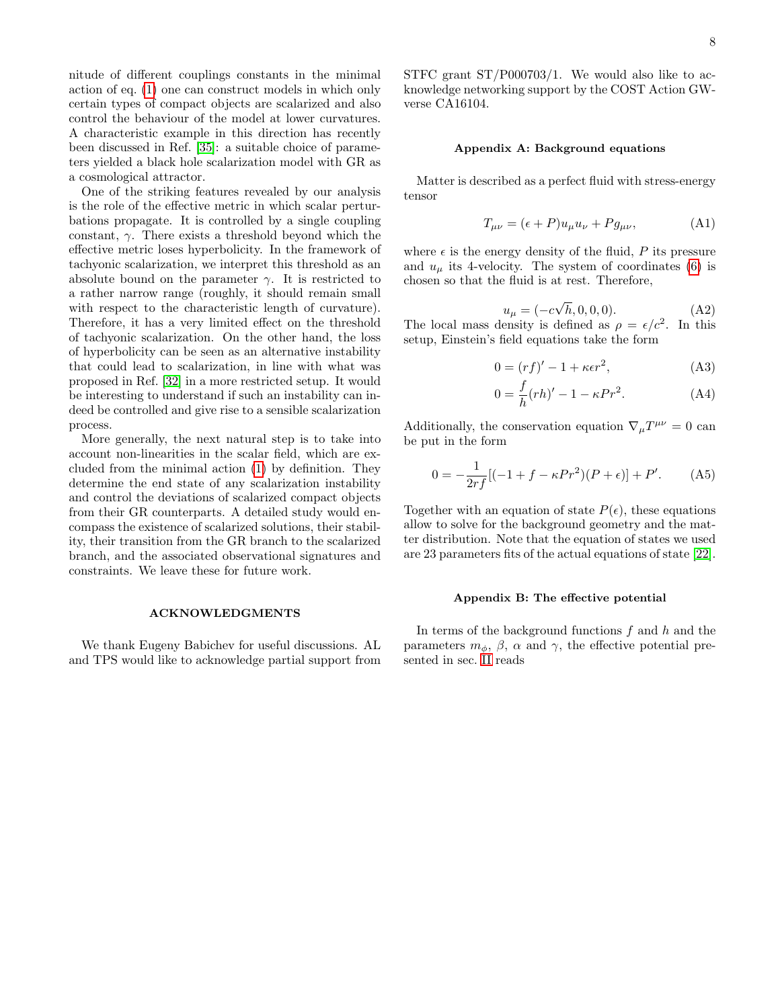nitude of different couplings constants in the minimal action of eq. [\(1\)](#page-0-1) one can construct models in which only certain types of compact objects are scalarized and also control the behaviour of the model at lower curvatures. A characteristic example in this direction has recently been discussed in Ref. [\[35\]](#page-9-18): a suitable choice of parameters yielded a black hole scalarization model with GR as a cosmological attractor.

One of the striking features revealed by our analysis is the role of the effective metric in which scalar perturbations propagate. It is controlled by a single coupling constant,  $\gamma$ . There exists a threshold beyond which the effective metric loses hyperbolicity. In the framework of tachyonic scalarization, we interpret this threshold as an absolute bound on the parameter  $\gamma$ . It is restricted to a rather narrow range (roughly, it should remain small with respect to the characteristic length of curvature). Therefore, it has a very limited effect on the threshold of tachyonic scalarization. On the other hand, the loss of hyperbolicity can be seen as an alternative instability that could lead to scalarization, in line with what was proposed in Ref. [\[32\]](#page-9-15) in a more restricted setup. It would be interesting to understand if such an instability can indeed be controlled and give rise to a sensible scalarization process.

More generally, the next natural step is to take into account non-linearities in the scalar field, which are excluded from the minimal action [\(1\)](#page-0-1) by definition. They determine the end state of any scalarization instability and control the deviations of scalarized compact objects from their GR counterparts. A detailed study would encompass the existence of scalarized solutions, their stability, their transition from the GR branch to the scalarized branch, and the associated observational signatures and constraints. We leave these for future work.

### ACKNOWLEDGMENTS

We thank Eugeny Babichev for useful discussions. AL and TPS would like to acknowledge partial support from STFC grant ST/P000703/1. We would also like to acknowledge networking support by the COST Action GWverse CA16104.

## <span id="page-7-0"></span>Appendix A: Background equations

Matter is described as a perfect fluid with stress-energy tensor

$$
T_{\mu\nu} = (\epsilon + P)u_{\mu}u_{\nu} + Pg_{\mu\nu}, \tag{A1}
$$

where  $\epsilon$  is the energy density of the fluid, P its pressure and  $u_{\mu}$  its 4-velocity. The system of coordinates [\(6\)](#page-1-5) is chosen so that the fluid is at rest. Therefore,

$$
u_{\mu} = (-c\sqrt{h}, 0, 0, 0). \tag{A2}
$$

The local mass density is defined as  $\rho = \epsilon/c^2$ . In this setup, Einstein's field equations take the form

$$
0 = (rf)' - 1 + \kappa \epsilon r^2,
$$
 (A3)

$$
0 = \frac{f}{h}(rh)' - 1 - \kappa Pr^2.
$$
 (A4)

Additionally, the conservation equation  $\nabla_{\mu}T^{\mu\nu} = 0$  can be put in the form

$$
0 = -\frac{1}{2rf} [(-1 + f - \kappa Pr^{2})(P + \epsilon)] + P'. \tag{A5}
$$

Together with an equation of state  $P(\epsilon)$ , these equations allow to solve for the background geometry and the matter distribution. Note that the equation of states we used are 23 parameters fits of the actual equations of state [\[22\]](#page-9-6).

#### <span id="page-7-1"></span>Appendix B: The effective potential

In terms of the background functions  $f$  and  $h$  and the parameters  $m_{\phi}$ ,  $\beta$ ,  $\alpha$  and  $\gamma$ , the effective potential presented in sec. [II](#page-0-0) reads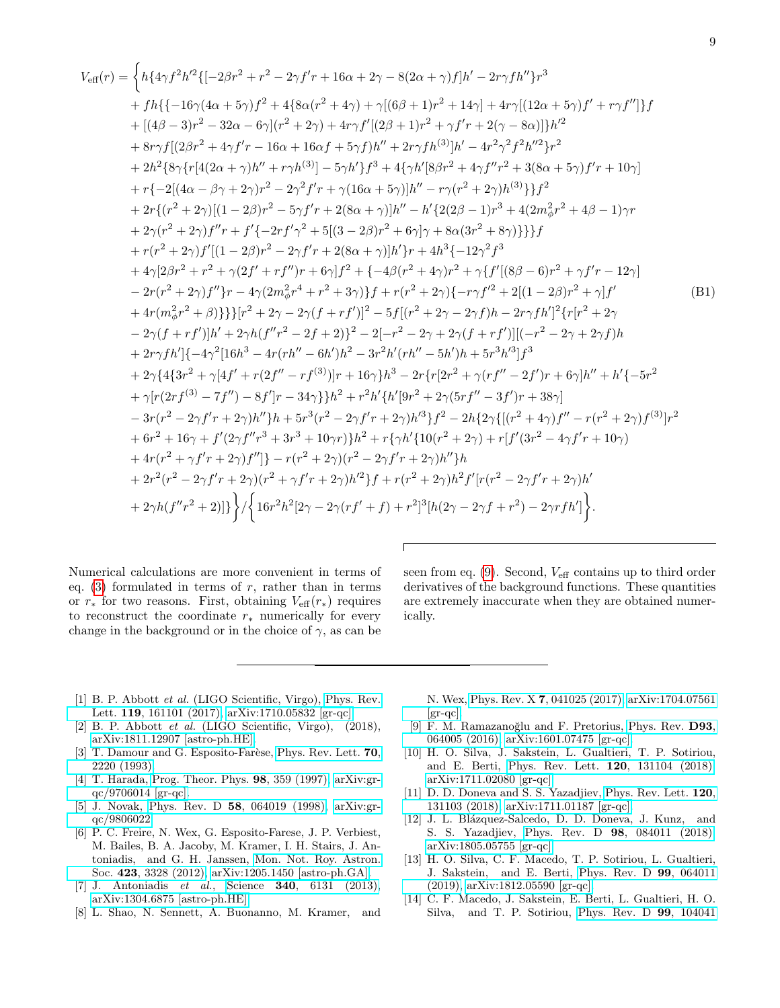<span id="page-8-12"></span>
$$
V_{\text{eff}}(r) =\begin{cases} h\{4\gamma f^2h'^2\{[-2\beta r^2 + r^2 - 2\gamma f' r + 16\alpha + 2\gamma - 8(2\alpha + \gamma)f]h' - 2r\gamma f h''\}r^3 \\ \quad + fh\{\{-16\gamma(4\alpha + 5\gamma)f^2 + 4\{8\alpha(r^2 + 4\gamma) + \gamma[(6\beta + 1)r^2 + 14\gamma] + 4r\gamma[(12\alpha + 5\gamma)f' + r\gamma f'']\}f \\ \quad + [(4\beta - 3)r^2 - 32\alpha - 6\gamma](r^2 + 2\gamma) + 4r\gamma f'[(2\beta + 1)r^2 + \gamma f' r + 2(\gamma - 8\alpha)]h'^2 \\ \quad + 8r\gamma f[(2\beta r^2 + 4\gamma f' r - 16\alpha + 16\alpha f + 5\gamma f)h'' + 2r\gamma f h^{(3)}]h' - 4r^2\gamma^2 f^2h'^2\}r^2 \\ \quad + 2h^2[8\gamma\{r[4(2\alpha + \gamma)h'' + r\gamma h^{(3)}] - 5\gamma h'\}f^3 + 4\{\gamma h'[8\beta r^2 + 4\gamma f''r^2 + 3(8\alpha + 5\gamma)f' r + 10\gamma] \\ \quad + r\{-2[(4\alpha - \beta\gamma + 2\gamma)r^2 - 2\gamma^2 f' r + \gamma(16\alpha + 5\gamma)]h'' - r\gamma(r^2 + 2\gamma)h^{(3)}\}f^2 \\ \quad + 2r\{(r^2 + 2\gamma)[(1 - 2\beta)r^2 - 5\gamma f' r + 2(8\alpha + \gamma)]h'' - h'\{2(2\beta - 1)r^3 + 4(2m_\phi^2r^2 + 4\beta - 1)\gamma r \\ \quad + 2\gamma(r^2 + 2\gamma)\{f''(1 - 2\beta)r^2 - 2\gamma f' r + 2(8\alpha + \gamma)]h'\}r + 4h^3\{-12\gamma^2 f^3 \\ \quad + 4\gamma[2\beta r^2 + r^2 + \gamma(2f' + r f'')r + 6\gamma]f^2 + \{-4\beta(r^2 + 4\gamma)r^2 + \gamma\{f'[(8\beta - 6)r^2 + \gamma f' r - 12\gamma] \\ \quad - 2r(r^2 +
$$

Numerical calculations are more convenient in terms of eq. [\(3\)](#page-1-0) formulated in terms of  $r$ , rather than in terms or  $r_*$  for two reasons. First, obtaining  $V_{\text{eff}}(r_*)$  requires to reconstruct the coordinate  $r_*$  numerically for every change in the background or in the choice of  $\gamma$ , as can be

seen from eq.  $(9)$ . Second,  $V_{\text{eff}}$  contains up to third order derivatives of the background functions. These quantities are extremely inaccurate when they are obtained numerically.

- <span id="page-8-0"></span>[1] B. P. Abbott et al. (LIGO Scientific, Virgo), [Phys. Rev.](http://dx.doi.org/10.1103/PhysRevLett.119.161101) Lett. 119[, 161101 \(2017\),](http://dx.doi.org/10.1103/PhysRevLett.119.161101) [arXiv:1710.05832 \[gr-qc\].](http://arxiv.org/abs/1710.05832)
- <span id="page-8-1"></span>[2] B. P. Abbott et al. (LIGO Scientific, Virgo), (2018), [arXiv:1811.12907 \[astro-ph.HE\].](http://arxiv.org/abs/1811.12907)
- <span id="page-8-2"></span>[3] T. Damour and G. Esposito-Farèse, [Phys. Rev. Lett.](http://dx.doi.org/10.1103/PhysRevLett.70.2220) 70, [2220 \(1993\).](http://dx.doi.org/10.1103/PhysRevLett.70.2220)
- <span id="page-8-3"></span>[4] T. Harada, [Prog. Theor. Phys.](http://dx.doi.org/10.1143/PTP.98.359) 98, 359 (1997), [arXiv:gr](http://arxiv.org/abs/gr-qc/9706014)[qc/9706014 \[gr-qc\].](http://arxiv.org/abs/gr-qc/9706014)
- <span id="page-8-4"></span>[5] J. Novak, Phys. Rev. D 58[, 064019 \(1998\),](http://dx.doi.org/10.1103/PhysRevD.58.064019) [arXiv:gr](http://arxiv.org/abs/gr-qc/9806022)[qc/9806022.](http://arxiv.org/abs/gr-qc/9806022)
- <span id="page-8-5"></span>[6] P. C. Freire, N. Wex, G. Esposito-Farese, J. P. Verbiest, M. Bailes, B. A. Jacoby, M. Kramer, I. H. Stairs, J. Antoniadis, and G. H. Janssen, [Mon. Not. Roy. Astron.](http://dx.doi.org/ 10.1111/j.1365-2966.2012.21253.x) Soc. 423[, 3328 \(2012\),](http://dx.doi.org/ 10.1111/j.1365-2966.2012.21253.x) [arXiv:1205.1450 \[astro-ph.GA\].](http://arxiv.org/abs/1205.1450)
- [7] J. Antoniadis et al., Science 340[, 6131 \(2013\),](http://dx.doi.org/10.1126/science.1233232) [arXiv:1304.6875 \[astro-ph.HE\].](http://arxiv.org/abs/1304.6875)
- <span id="page-8-6"></span>[8] L. Shao, N. Sennett, A. Buonanno, M. Kramer, and

N. Wex, Phys. Rev. X 7[, 041025 \(2017\),](http://dx.doi.org/ 10.1103/PhysRevX.7.041025) [arXiv:1704.07561](http://arxiv.org/abs/1704.07561)  $\left[\text{gr-qc}\right].$ 

- <span id="page-8-7"></span>[9] F. M. Ramazanoğlu and F. Pretorius, [Phys. Rev.](http://dx.doi.org/10.1103/PhysRevD.93.064005) D93, [064005 \(2016\),](http://dx.doi.org/10.1103/PhysRevD.93.064005) [arXiv:1601.07475 \[gr-qc\].](http://arxiv.org/abs/1601.07475)
- <span id="page-8-8"></span>[10] H. O. Silva, J. Sakstein, L. Gualtieri, T. P. Sotiriou, and E. Berti, [Phys. Rev. Lett.](http://dx.doi.org/ 10.1103/PhysRevLett.120.131104) 120, 131104 (2018), [arXiv:1711.02080 \[gr-qc\].](http://arxiv.org/abs/1711.02080)
- <span id="page-8-9"></span>[11] D. D. Doneva and S. S. Yazadjiev, [Phys. Rev. Lett.](http://dx.doi.org/10.1103/PhysRevLett.120.131103) 120, [131103 \(2018\),](http://dx.doi.org/10.1103/PhysRevLett.120.131103) [arXiv:1711.01187 \[gr-qc\].](http://arxiv.org/abs/1711.01187)
- <span id="page-8-10"></span>[12] J. L. Blázquez-Salcedo, D. D. Doneva, J. Kunz, and S. S. Yazadjiev, Phys. Rev. D 98[, 084011 \(2018\),](http://dx.doi.org/10.1103/PhysRevD.98.084011) [arXiv:1805.05755 \[gr-qc\].](http://arxiv.org/abs/1805.05755)
- [13] H. O. Silva, C. F. Macedo, T. P. Sotiriou, L. Gualtieri, J. Sakstein, and E. Berti, [Phys. Rev. D](http://dx.doi.org/ 10.1103/PhysRevD.99.064011) 99, 064011 [\(2019\),](http://dx.doi.org/ 10.1103/PhysRevD.99.064011) [arXiv:1812.05590 \[gr-qc\].](http://arxiv.org/abs/1812.05590)
- <span id="page-8-11"></span>[14] C. F. Macedo, J. Sakstein, E. Berti, L. Gualtieri, H. O. Silva, and T. P. Sotiriou, [Phys. Rev. D](http://dx.doi.org/ 10.1103/PhysRevD.99.104041) 99, 104041